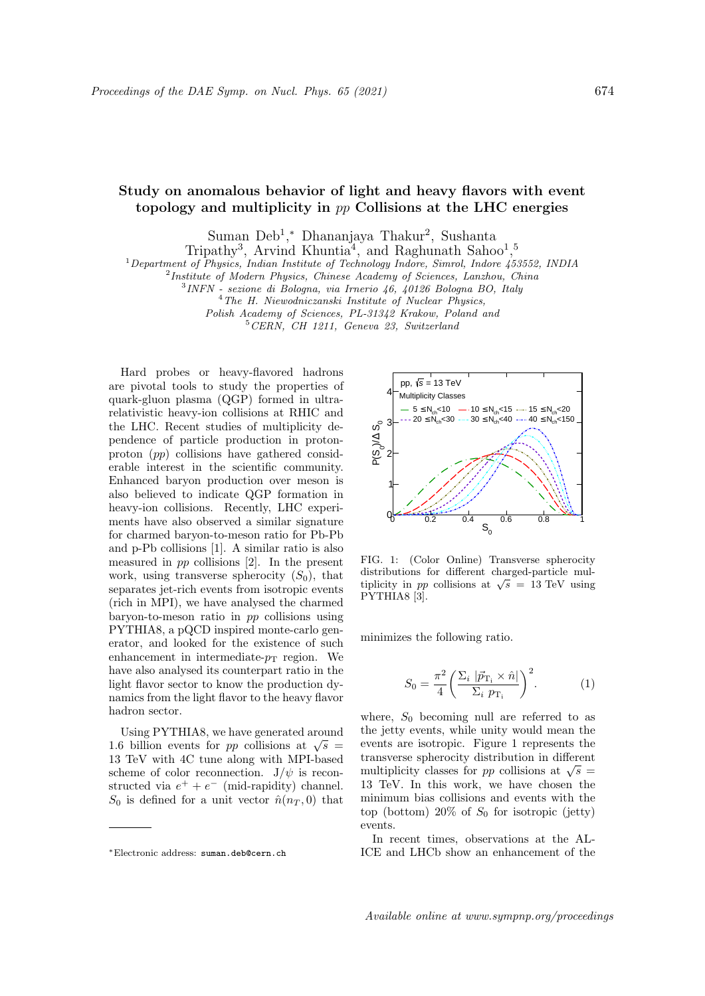## Study on anomalous behavior of light and heavy flavors with event topology and multiplicity in pp Collisions at the LHC energies

Suman Deb<sup>1</sup>,\* Dhananjaya Thakur<sup>2</sup>, Sushanta

Tripathy<sup>3</sup>, Arvind Khuntia<sup>4</sup>, and Raghunath Sahoo<sup>1</sup>,<sup>5</sup>

<sup>1</sup>Department of Physics, Indian Institute of Technology Indore, Simrol, Indore 453552, INDIA

<sup>2</sup>Institute of Modern Physics, Chinese Academy of Sciences, Lanzhou, China

3 INFN - sezione di Bologna, via Irnerio 46, 40126 Bologna BO, Italy

<sup>4</sup>The H. Niewodniczanski Institute of Nuclear Physics,

Polish Academy of Sciences, PL-31342 Krakow, Poland and

 $5$  CERN, CH 1211, Geneva 23, Switzerland

Hard probes or heavy-flavored hadrons are pivotal tools to study the properties of quark-gluon plasma (QGP) formed in ultrarelativistic heavy-ion collisions at RHIC and the LHC. Recent studies of multiplicity dependence of particle production in protonproton (pp) collisions have gathered considerable interest in the scientific community. Enhanced baryon production over meson is also believed to indicate QGP formation in heavy-ion collisions. Recently, LHC experiments have also observed a similar signature for charmed baryon-to-meson ratio for Pb-Pb and p-Pb collisions [1]. A similar ratio is also measured in pp collisions [2]. In the present work, using transverse spherocity  $(S_0)$ , that separates jet-rich events from isotropic events (rich in MPI), we have analysed the charmed baryon-to-meson ratio in pp collisions using PYTHIA8, a pQCD inspired monte-carlo generator, and looked for the existence of such enhancement in intermediate- $p_T$  region. We have also analysed its counterpart ratio in the light flavor sector to know the production dynamics from the light flavor to the heavy flavor hadron sector.

Using PYTHIA8, we have generated around Using PTTHIAS, we have generated around<br>1.6 billion events for pp collisions at  $\sqrt{s}$ 13 TeV with 4C tune along with MPI-based scheme of color reconnection.  $J/\psi$  is reconstructed via  $e^+ + e^-$  (mid-rapidity) channel.  $S_0$  is defined for a unit vector  $\hat{n}(n_T, 0)$  that



FIG. 1: (Color Online) Transverse spherocity distributions for different charged-particle muldistributions for different charged-particle multiplicity in *pp* collisions at  $\sqrt{s} = 13$  TeV using PYTHIA8 [3].

minimizes the following ratio.

$$
S_0 = \frac{\pi^2}{4} \left( \frac{\Sigma_i \left| \vec{p}_{\mathrm{T}_i} \times \hat{n} \right|}{\Sigma_i \ p_{\mathrm{T}_i}} \right)^2.
$$
 (1)

where,  $S_0$  becoming null are referred to as the jetty events, while unity would mean the events are isotropic. Figure 1 represents the transverse spherocity distribution in different multiplicity classes for *pp* collisions at  $\sqrt{s}$  = 13 TeV. In this work, we have chosen the minimum bias collisions and events with the top (bottom)  $20\%$  of  $S_0$  for isotropic (jetty) events.

In recent times, observations at the AL-ICE and LHCb show an enhancement of the

<sup>∗</sup>Electronic address: suman.deb@cern.ch